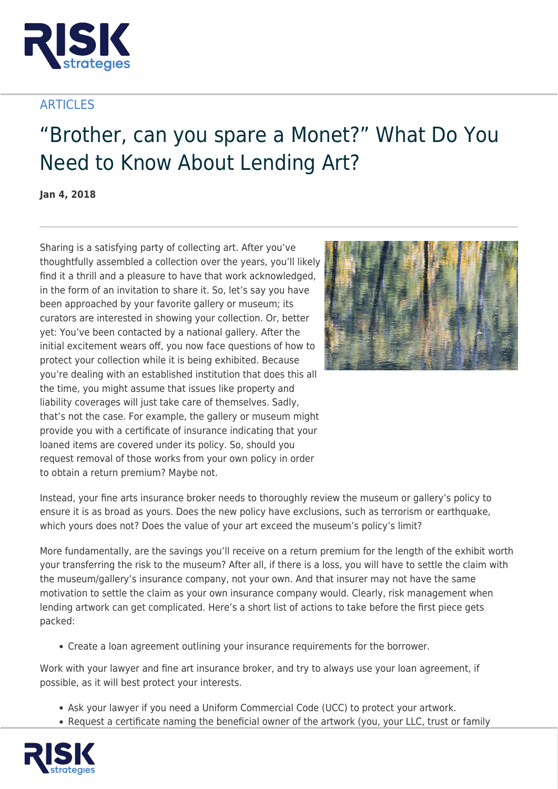

## **ARTICLES**

## "Brother, can you spare a Monet?" What Do You Need to Know About Lending Art?

**Jan 4, 2018**

Sharing is a satisfying party of collecting art. After you've thoughtfully assembled a collection over the years, you'll likely find it a thrill and a pleasure to have that work acknowledged, in the form of an invitation to share it. So, let's say you have been approached by your favorite gallery or museum; its curators are interested in showing your collection. Or, better yet: You've been contacted by a national gallery. After the initial excitement wears off, you now face questions of how to protect your collection while it is being exhibited. Because you're dealing with an established institution that does this all the time, you might assume that issues like property and liability coverages will just take care of themselves. Sadly, that's not the case. For example, the gallery or museum might provide you with a certificate of insurance indicating that your loaned items are covered under its policy. So, should you request removal of those works from your own policy in order to obtain a return premium? Maybe not.



Instead, your fine arts insurance broker needs to thoroughly review the museum or gallery's policy to ensure it is as broad as yours. Does the new policy have exclusions, such as terrorism or earthquake, which yours does not? Does the value of your art exceed the museum's policy's limit?

More fundamentally, are the savings you'll receive on a return premium for the length of the exhibit worth your transferring the risk to the museum? After all, if there is a loss, you will have to settle the claim with the museum/gallery's insurance company, not your own. And that insurer may not have the same motivation to settle the claim as your own insurance company would. Clearly, risk management when lending artwork can get complicated. Here's a short list of actions to take before the first piece gets packed:

Create a loan agreement outlining your insurance requirements for the borrower.

Work with your lawyer and fine art insurance broker, and try to always use your loan agreement, if possible, as it will best protect your interests.

- Ask your lawyer if you need a Uniform Commercial Code (UCC) to protect your artwork.
- Request a certificate naming the beneficial owner of the artwork (you, your LLC, trust or family